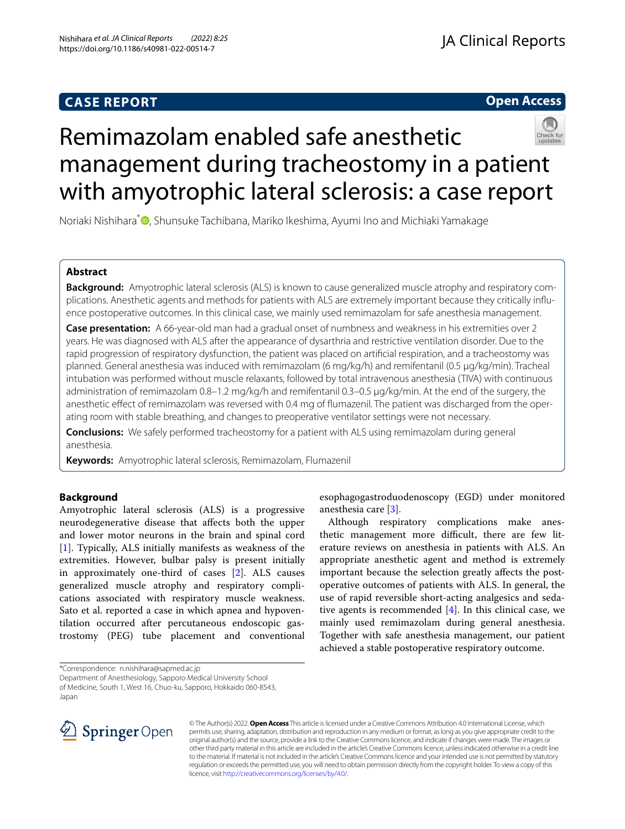# **CASE REPORT**



# Remimazolam enabled safe anesthetic management during tracheostomy in a patient with amyotrophic lateral sclerosis: a case report

Noriaki Nishihara<sup>[\\*](http://orcid.org/0000-0001-5197-3919)</sup><sup>®</sup>, Shunsuke Tachibana, Mariko Ikeshima, Ayumi Ino and Michiaki Yamakage

# **Abstract**

**Background:** Amyotrophic lateral sclerosis (ALS) is known to cause generalized muscle atrophy and respiratory complications. Anesthetic agents and methods for patients with ALS are extremely important because they critically infuence postoperative outcomes. In this clinical case, we mainly used remimazolam for safe anesthesia management.

**Case presentation:** A 66-year-old man had a gradual onset of numbness and weakness in his extremities over 2 years. He was diagnosed with ALS after the appearance of dysarthria and restrictive ventilation disorder. Due to the rapid progression of respiratory dysfunction, the patient was placed on artifcial respiration, and a tracheostomy was planned. General anesthesia was induced with remimazolam (6 mg/kg/h) and remifentanil (0.5 μg/kg/min). Tracheal intubation was performed without muscle relaxants, followed by total intravenous anesthesia (TIVA) with continuous administration of remimazolam 0.8–1.2 mg/kg/h and remifentanil 0.3–0.5 μg/kg/min. At the end of the surgery, the anesthetic efect of remimazolam was reversed with 0.4 mg of fumazenil. The patient was discharged from the operating room with stable breathing, and changes to preoperative ventilator settings were not necessary.

**Conclusions:** We safely performed tracheostomy for a patient with ALS using remimazolam during general anesthesia.

**Keywords:** Amyotrophic lateral sclerosis, Remimazolam, Flumazenil

# **Background**

Amyotrophic lateral sclerosis (ALS) is a progressive neurodegenerative disease that afects both the upper and lower motor neurons in the brain and spinal cord [[1\]](#page-2-0). Typically, ALS initially manifests as weakness of the extremities. However, bulbar palsy is present initially in approximately one-third of cases [\[2](#page-2-1)]. ALS causes generalized muscle atrophy and respiratory complications associated with respiratory muscle weakness. Sato et al. reported a case in which apnea and hypoventilation occurred after percutaneous endoscopic gastrostomy (PEG) tube placement and conventional

\*Correspondence: n.nishihara@sapmed.ac.jp

Department of Anesthesiology, Sapporo Medical University School of Medicine, South 1, West 16, Chuo-ku, Sapporo, Hokkaido 060-8543, Japan



© The Author(s) 2022. **Open Access** This article is licensed under a Creative Commons Attribution 4.0 International License, which permits use, sharing, adaptation, distribution and reproduction in any medium or format, as long as you give appropriate credit to the original author(s) and the source, provide a link to the Creative Commons licence, and indicate if changes were made. The images or other third party material in this article are included in the article's Creative Commons licence, unless indicated otherwise in a credit line to the material. If material is not included in the article's Creative Commons licence and your intended use is not permitted by statutory regulation or exceeds the permitted use, you will need to obtain permission directly from the copyright holder. To view a copy of this licence, visit [http://creativecommons.org/licenses/by/4.0/.](http://creativecommons.org/licenses/by/4.0/)

esophagogastroduodenoscopy (EGD) under monitored anesthesia care [[3\]](#page-2-2).

Although respiratory complications make anesthetic management more difficult, there are few literature reviews on anesthesia in patients with ALS. An appropriate anesthetic agent and method is extremely important because the selection greatly afects the postoperative outcomes of patients with ALS. In general, the use of rapid reversible short-acting analgesics and sedative agents is recommended [[4\]](#page-2-3). In this clinical case, we mainly used remimazolam during general anesthesia. Together with safe anesthesia management, our patient achieved a stable postoperative respiratory outcome.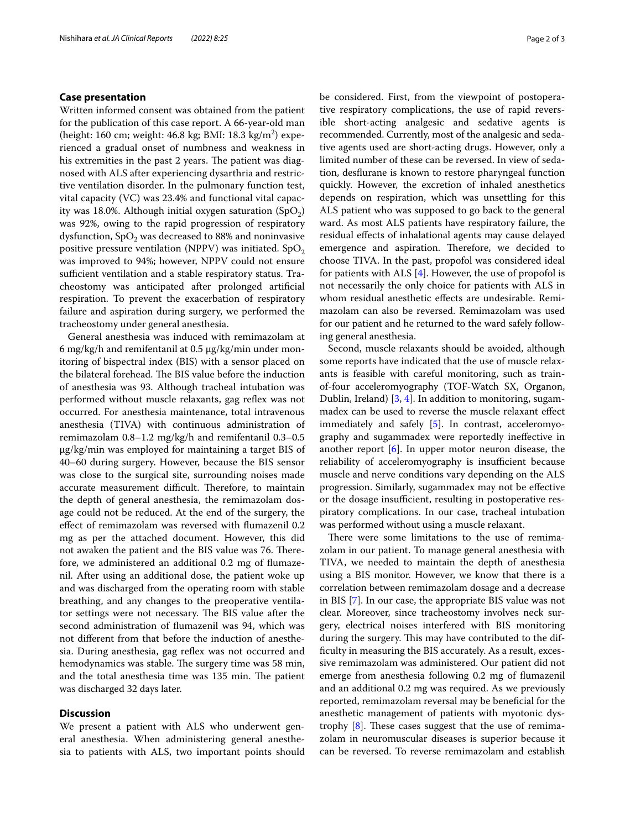## **Case presentation**

Written informed consent was obtained from the patient for the publication of this case report. A 66-year-old man (height: 160 cm; weight: 46.8 kg; BMI: 18.3 kg/m $^2$ ) experienced a gradual onset of numbness and weakness in his extremities in the past 2 years. The patient was diagnosed with ALS after experiencing dysarthria and restrictive ventilation disorder. In the pulmonary function test, vital capacity (VC) was 23.4% and functional vital capacity was 18.0%. Although initial oxygen saturation  $(SpO<sub>2</sub>)$ was 92%, owing to the rapid progression of respiratory dysfunction,  $SpO<sub>2</sub>$  was decreased to 88% and noninvasive positive pressure ventilation (NPPV) was initiated.  $SpO<sub>2</sub>$ was improved to 94%; however, NPPV could not ensure sufficient ventilation and a stable respiratory status. Tracheostomy was anticipated after prolonged artifcial respiration. To prevent the exacerbation of respiratory failure and aspiration during surgery, we performed the tracheostomy under general anesthesia.

General anesthesia was induced with remimazolam at 6 mg/kg/h and remifentanil at 0.5 μg/kg/min under monitoring of bispectral index (BIS) with a sensor placed on the bilateral forehead. The BIS value before the induction of anesthesia was 93. Although tracheal intubation was performed without muscle relaxants, gag reflex was not occurred. For anesthesia maintenance, total intravenous anesthesia (TIVA) with continuous administration of remimazolam 0.8–1.2 mg/kg/h and remifentanil 0.3–0.5 μg/kg/min was employed for maintaining a target BIS of 40–60 during surgery. However, because the BIS sensor was close to the surgical site, surrounding noises made accurate measurement difficult. Therefore, to maintain the depth of general anesthesia, the remimazolam dosage could not be reduced. At the end of the surgery, the efect of remimazolam was reversed with fumazenil 0.2 mg as per the attached document. However, this did not awaken the patient and the BIS value was 76. Therefore, we administered an additional 0.2 mg of fumazenil. After using an additional dose, the patient woke up and was discharged from the operating room with stable breathing, and any changes to the preoperative ventilator settings were not necessary. The BIS value after the second administration of fumazenil was 94, which was not diferent from that before the induction of anesthesia. During anesthesia, gag reflex was not occurred and hemodynamics was stable. The surgery time was 58 min, and the total anesthesia time was 135 min. The patient was discharged 32 days later.

## **Discussion**

We present a patient with ALS who underwent general anesthesia. When administering general anesthesia to patients with ALS, two important points should be considered. First, from the viewpoint of postoperative respiratory complications, the use of rapid reversible short-acting analgesic and sedative agents is recommended. Currently, most of the analgesic and sedative agents used are short-acting drugs. However, only a limited number of these can be reversed. In view of sedation, desfurane is known to restore pharyngeal function quickly. However, the excretion of inhaled anesthetics depends on respiration, which was unsettling for this ALS patient who was supposed to go back to the general ward. As most ALS patients have respiratory failure, the residual efects of inhalational agents may cause delayed emergence and aspiration. Therefore, we decided to choose TIVA. In the past, propofol was considered ideal for patients with ALS [\[4](#page-2-3)]. However, the use of propofol is not necessarily the only choice for patients with ALS in whom residual anesthetic efects are undesirable. Remimazolam can also be reversed. Remimazolam was used for our patient and he returned to the ward safely following general anesthesia.

Second, muscle relaxants should be avoided, although some reports have indicated that the use of muscle relaxants is feasible with careful monitoring, such as trainof-four acceleromyography (TOF-Watch SX, Organon, Dublin, Ireland) [[3,](#page-2-2) [4](#page-2-3)]. In addition to monitoring, sugammadex can be used to reverse the muscle relaxant efect immediately and safely [[5](#page-2-4)]. In contrast, acceleromyography and sugammadex were reportedly inefective in another report [\[6](#page-2-5)]. In upper motor neuron disease, the reliability of acceleromyography is insufficient because muscle and nerve conditions vary depending on the ALS progression. Similarly, sugammadex may not be efective or the dosage insufficient, resulting in postoperative respiratory complications. In our case, tracheal intubation was performed without using a muscle relaxant.

There were some limitations to the use of remimazolam in our patient. To manage general anesthesia with TIVA, we needed to maintain the depth of anesthesia using a BIS monitor. However, we know that there is a correlation between remimazolam dosage and a decrease in BIS [[7\]](#page-2-6). In our case, the appropriate BIS value was not clear. Moreover, since tracheostomy involves neck surgery, electrical noises interfered with BIS monitoring during the surgery. This may have contributed to the diffculty in measuring the BIS accurately. As a result, excessive remimazolam was administered. Our patient did not emerge from anesthesia following 0.2 mg of fumazenil and an additional 0.2 mg was required. As we previously reported, remimazolam reversal may be benefcial for the anesthetic management of patients with myotonic dystrophy  $[8]$  $[8]$  $[8]$ . These cases suggest that the use of remimazolam in neuromuscular diseases is superior because it can be reversed. To reverse remimazolam and establish